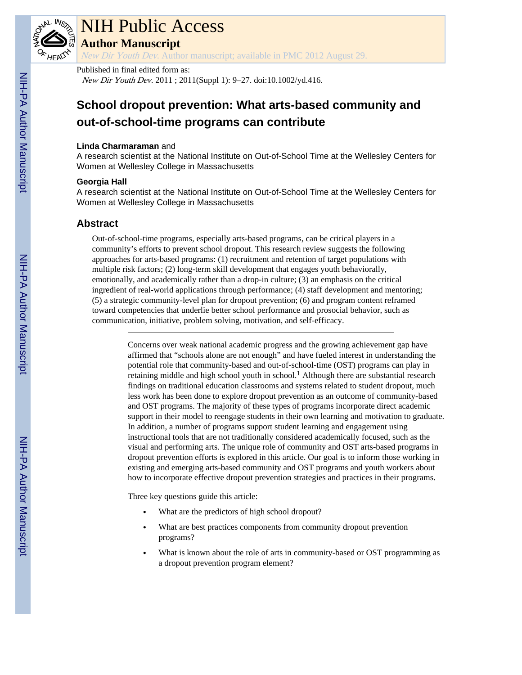

# NIH Public Access

**Author Manuscript**

New Dir Youth Dev. Author manuscript; available in PMC 2012 August 29.

# Published in final edited form as:

New Dir Youth Dev. 2011 ; 2011(Suppl 1): 9–27. doi:10.1002/yd.416.

# **School dropout prevention: What arts-based community and out-of-school-time programs can contribute**

# **Linda Charmaraman** and

A research scientist at the National Institute on Out-of-School Time at the Wellesley Centers for Women at Wellesley College in Massachusetts

# **Georgia Hall**

A research scientist at the National Institute on Out-of-School Time at the Wellesley Centers for Women at Wellesley College in Massachusetts

# **Abstract**

Out-of-school-time programs, especially arts-based programs, can be critical players in a community's efforts to prevent school dropout. This research review suggests the following approaches for arts-based programs: (1) recruitment and retention of target populations with multiple risk factors; (2) long-term skill development that engages youth behaviorally, emotionally, and academically rather than a drop-in culture; (3) an emphasis on the critical ingredient of real-world applications through performance; (4) staff development and mentoring; (5) a strategic community-level plan for dropout prevention; (6) and program content reframed toward competencies that underlie better school performance and prosocial behavior, such as communication, initiative, problem solving, motivation, and self-efficacy.

> Concerns over weak national academic progress and the growing achievement gap have affirmed that "schools alone are not enough" and have fueled interest in understanding the potential role that community-based and out-of-school-time (OST) programs can play in retaining middle and high school youth in school.<sup>1</sup> Although there are substantial research findings on traditional education classrooms and systems related to student dropout, much less work has been done to explore dropout prevention as an outcome of community-based and OST programs. The majority of these types of programs incorporate direct academic support in their model to reengage students in their own learning and motivation to graduate. In addition, a number of programs support student learning and engagement using instructional tools that are not traditionally considered academically focused, such as the visual and performing arts. The unique role of community and OST arts-based programs in dropout prevention efforts is explored in this article. Our goal is to inform those working in existing and emerging arts-based community and OST programs and youth workers about how to incorporate effective dropout prevention strategies and practices in their programs.

Three key questions guide this article:

- What are the predictors of high school dropout?
- **•** What are best practices components from community dropout prevention programs?
- **•** What is known about the role of arts in community-based or OST programming as a dropout prevention program element?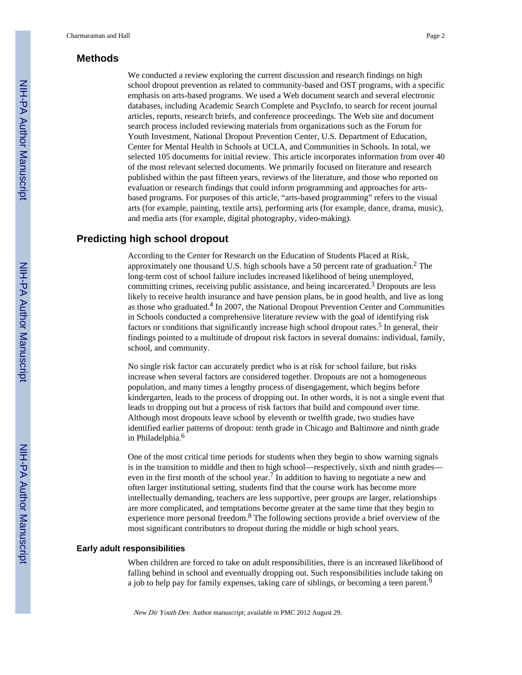# **Methods**

We conducted a review exploring the current discussion and research findings on high school dropout prevention as related to community-based and OST programs, with a specific emphasis on arts-based programs. We used a Web document search and several electronic databases, including Academic Search Complete and PsycInfo, to search for recent journal articles, reports, research briefs, and conference proceedings. The Web site and document search process included reviewing materials from organizations such as the Forum for Youth Investment, National Dropout Prevention Center, U.S. Department of Education, Center for Mental Health in Schools at UCLA, and Communities in Schools. In total, we selected 105 documents for initial review. This article incorporates information from over 40 of the most relevant selected documents. We primarily focused on literature and research published within the past fifteen years, reviews of the literature, and those who reported on evaluation or research findings that could inform programming and approaches for artsbased programs. For purposes of this article, "arts-based programming" refers to the visual arts (for example, painting, textile arts), performing arts (for example, dance, drama, music), and media arts (for example, digital photography, video-making).

# **Predicting high school dropout**

According to the Center for Research on the Education of Students Placed at Risk, approximately one thousand U.S. high schools have a 50 percent rate of graduation.<sup>2</sup> The long-term cost of school failure includes increased likelihood of being unemployed, committing crimes, receiving public assistance, and being incarcerated.<sup>3</sup> Dropouts are less likely to receive health insurance and have pension plans, be in good health, and live as long as those who graduated.<sup>4</sup> In 2007, the National Dropout Prevention Center and Communities in Schools conducted a comprehensive literature review with the goal of identifying risk factors or conditions that significantly increase high school dropout rates.<sup>5</sup> In general, their findings pointed to a multitude of dropout risk factors in several domains: individual, family, school, and community.

No single risk factor can accurately predict who is at risk for school failure, but risks increase when several factors are considered together. Dropouts are not a homogeneous population, and many times a lengthy process of disengagement, which begins before kindergarten, leads to the process of dropping out. In other words, it is not a single event that leads to dropping out but a process of risk factors that build and compound over time. Although most dropouts leave school by eleventh or twelfth grade, two studies have identified earlier patterns of dropout: tenth grade in Chicago and Baltimore and ninth grade in Philadelphia.<sup>6</sup>

One of the most critical time periods for students when they begin to show warning signals is in the transition to middle and then to high school—respectively, sixth and ninth grades even in the first month of the school year.<sup>7</sup> In addition to having to negotiate a new and often larger institutional setting, students find that the course work has become more intellectually demanding, teachers are less supportive, peer groups are larger, relationships are more complicated, and temptations become greater at the same time that they begin to experience more personal freedom.<sup>8</sup> The following sections provide a brief overview of the most significant contributors to dropout during the middle or high school years.

#### **Early adult responsibilities**

When children are forced to take on adult responsibilities, there is an increased likelihood of falling behind in school and eventually dropping out. Such responsibilities include taking on a job to help pay for family expenses, taking care of siblings, or becoming a teen parent.<sup>9</sup>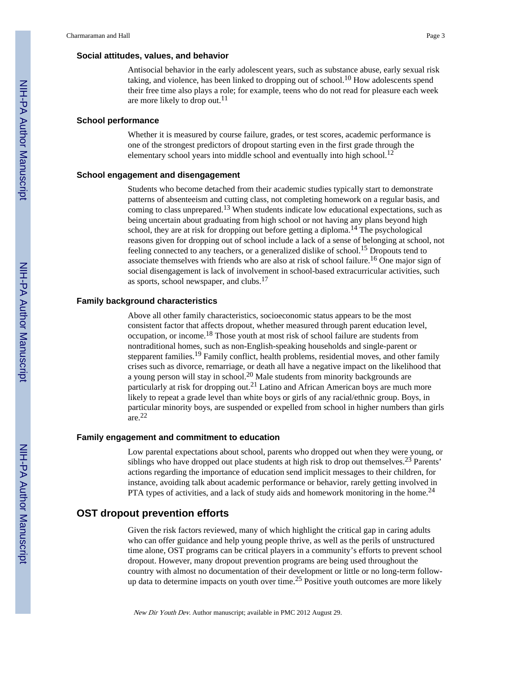#### **Social attitudes, values, and behavior**

Antisocial behavior in the early adolescent years, such as substance abuse, early sexual risk taking, and violence, has been linked to dropping out of school.<sup>10</sup> How adolescents spend their free time also plays a role; for example, teens who do not read for pleasure each week are more likely to drop out.<sup>11</sup>

#### **School performance**

Whether it is measured by course failure, grades, or test scores, academic performance is one of the strongest predictors of dropout starting even in the first grade through the elementary school years into middle school and eventually into high school.<sup>12</sup>

#### **School engagement and disengagement**

Students who become detached from their academic studies typically start to demonstrate patterns of absenteeism and cutting class, not completing homework on a regular basis, and coming to class unprepared.<sup>13</sup> When students indicate low educational expectations, such as being uncertain about graduating from high school or not having any plans beyond high school, they are at risk for dropping out before getting a diploma.<sup>14</sup> The psychological reasons given for dropping out of school include a lack of a sense of belonging at school, not feeling connected to any teachers, or a generalized dislike of school.15 Dropouts tend to associate themselves with friends who are also at risk of school failure.<sup>16</sup> One major sign of social disengagement is lack of involvement in school-based extracurricular activities, such as sports, school newspaper, and clubs.<sup>17</sup>

#### **Family background characteristics**

Above all other family characteristics, socioeconomic status appears to be the most consistent factor that affects dropout, whether measured through parent education level, occupation, or income.18 Those youth at most risk of school failure are students from nontraditional homes, such as non-English-speaking households and single-parent or stepparent families.<sup>19</sup> Family conflict, health problems, residential moves, and other family crises such as divorce, remarriage, or death all have a negative impact on the likelihood that a young person will stay in school.20 Male students from minority backgrounds are particularly at risk for dropping out.<sup>21</sup> Latino and African American boys are much more likely to repeat a grade level than white boys or girls of any racial/ethnic group. Boys, in particular minority boys, are suspended or expelled from school in higher numbers than girls  $are.22$ 

#### **Family engagement and commitment to education**

Low parental expectations about school, parents who dropped out when they were young, or siblings who have dropped out place students at high risk to drop out themselves.<sup>23</sup> Parents' actions regarding the importance of education send implicit messages to their children, for instance, avoiding talk about academic performance or behavior, rarely getting involved in PTA types of activities, and a lack of study aids and homework monitoring in the home.<sup>24</sup>

# **OST dropout prevention efforts**

Given the risk factors reviewed, many of which highlight the critical gap in caring adults who can offer guidance and help young people thrive, as well as the perils of unstructured time alone, OST programs can be critical players in a community's efforts to prevent school dropout. However, many dropout prevention programs are being used throughout the country with almost no documentation of their development or little or no long-term followup data to determine impacts on youth over time.25 Positive youth outcomes are more likely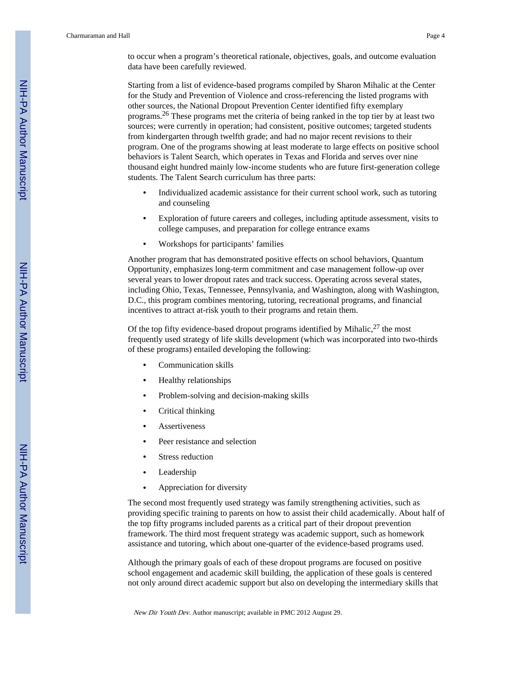to occur when a program's theoretical rationale, objectives, goals, and outcome evaluation data have been carefully reviewed.

Starting from a list of evidence-based programs compiled by Sharon Mihalic at the Center for the Study and Prevention of Violence and cross-referencing the listed programs with other sources, the National Dropout Prevention Center identified fifty exemplary programs.26 These programs met the criteria of being ranked in the top tier by at least two sources; were currently in operation; had consistent, positive outcomes; targeted students from kindergarten through twelfth grade; and had no major recent revisions to their program. One of the programs showing at least moderate to large effects on positive school behaviors is Talent Search, which operates in Texas and Florida and serves over nine thousand eight hundred mainly low-income students who are future first-generation college students. The Talent Search curriculum has three parts:

- **•** Individualized academic assistance for their current school work, such as tutoring and counseling
- **•** Exploration of future careers and colleges, including aptitude assessment, visits to college campuses, and preparation for college entrance exams
- **•** Workshops for participants' families

Another program that has demonstrated positive effects on school behaviors, Quantum Opportunity, emphasizes long-term commitment and case management follow-up over several years to lower dropout rates and track success. Operating across several states, including Ohio, Texas, Tennessee, Pennsylvania, and Washington, along with Washington, D.C., this program combines mentoring, tutoring, recreational programs, and financial incentives to attract at-risk youth to their programs and retain them.

Of the top fifty evidence-based dropout programs identified by Mihalic, $27$  the most frequently used strategy of life skills development (which was incorporated into two-thirds of these programs) entailed developing the following:

- **•** Communication skills
- **•** Healthy relationships
- **•** Problem-solving and decision-making skills
- **•** Critical thinking
- **•** Assertiveness
- **•** Peer resistance and selection
- **•** Stress reduction
- **•** Leadership
- **•** Appreciation for diversity

The second most frequently used strategy was family strengthening activities, such as providing specific training to parents on how to assist their child academically. About half of the top fifty programs included parents as a critical part of their dropout prevention framework. The third most frequent strategy was academic support, such as homework assistance and tutoring, which about one-quarter of the evidence-based programs used.

Although the primary goals of each of these dropout programs are focused on positive school engagement and academic skill building, the application of these goals is centered not only around direct academic support but also on developing the intermediary skills that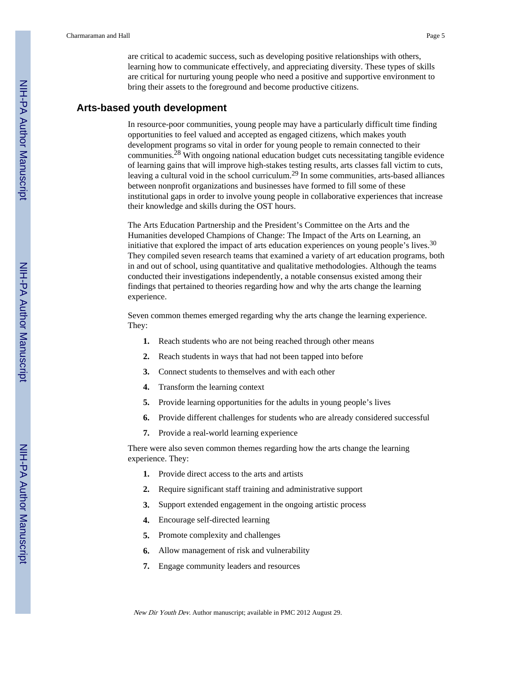are critical to academic success, such as developing positive relationships with others, learning how to communicate effectively, and appreciating diversity. These types of skills are critical for nurturing young people who need a positive and supportive environment to bring their assets to the foreground and become productive citizens.

# **Arts-based youth development**

In resource-poor communities, young people may have a particularly difficult time finding opportunities to feel valued and accepted as engaged citizens, which makes youth development programs so vital in order for young people to remain connected to their communities.28 With ongoing national education budget cuts necessitating tangible evidence of learning gains that will improve high-stakes testing results, arts classes fall victim to cuts, leaving a cultural void in the school curriculum.29 In some communities, arts-based alliances between nonprofit organizations and businesses have formed to fill some of these institutional gaps in order to involve young people in collaborative experiences that increase their knowledge and skills during the OST hours.

The Arts Education Partnership and the President's Committee on the Arts and the Humanities developed Champions of Change: The Impact of the Arts on Learning, an initiative that explored the impact of arts education experiences on young people's lives.<sup>30</sup> They compiled seven research teams that examined a variety of art education programs, both in and out of school, using quantitative and qualitative methodologies. Although the teams conducted their investigations independently, a notable consensus existed among their findings that pertained to theories regarding how and why the arts change the learning experience.

Seven common themes emerged regarding why the arts change the learning experience. They:

- **1.** Reach students who are not being reached through other means
- **2.** Reach students in ways that had not been tapped into before
- **3.** Connect students to themselves and with each other
- **4.** Transform the learning context
- **5.** Provide learning opportunities for the adults in young people's lives
- **6.** Provide different challenges for students who are already considered successful
- **7.** Provide a real-world learning experience

There were also seven common themes regarding how the arts change the learning experience. They:

- **1.** Provide direct access to the arts and artists
- **2.** Require significant staff training and administrative support
- **3.** Support extended engagement in the ongoing artistic process
- **4.** Encourage self-directed learning
- **5.** Promote complexity and challenges
- **6.** Allow management of risk and vulnerability
- **7.** Engage community leaders and resources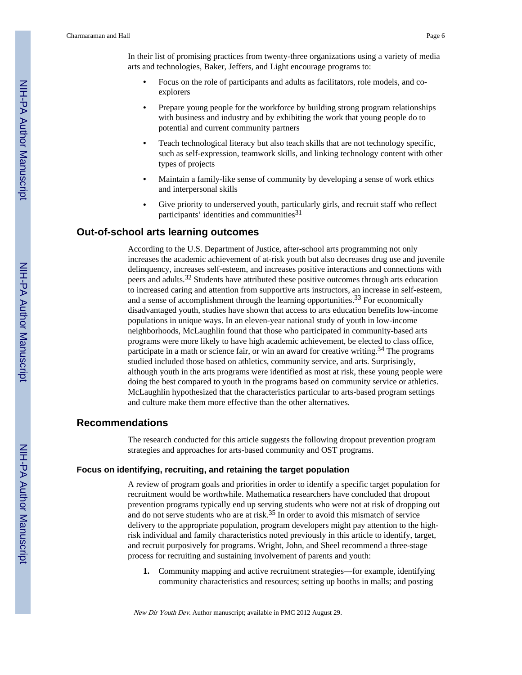In their list of promising practices from twenty-three organizations using a variety of media arts and technologies, Baker, Jeffers, and Light encourage programs to:

- **•** Focus on the role of participants and adults as facilitators, role models, and coexplorers
- **•** Prepare young people for the workforce by building strong program relationships with business and industry and by exhibiting the work that young people do to potential and current community partners
- **•** Teach technological literacy but also teach skills that are not technology specific, such as self-expression, teamwork skills, and linking technology content with other types of projects
- **•** Maintain a family-like sense of community by developing a sense of work ethics and interpersonal skills
- **•** Give priority to underserved youth, particularly girls, and recruit staff who reflect participants' identities and communities<sup>31</sup>

# **Out-of-school arts learning outcomes**

According to the U.S. Department of Justice, after-school arts programming not only increases the academic achievement of at-risk youth but also decreases drug use and juvenile delinquency, increases self-esteem, and increases positive interactions and connections with peers and adults.32 Students have attributed these positive outcomes through arts education to increased caring and attention from supportive arts instructors, an increase in self-esteem, and a sense of accomplishment through the learning opportunities.<sup>33</sup> For economically disadvantaged youth, studies have shown that access to arts education benefits low-income populations in unique ways. In an eleven-year national study of youth in low-income neighborhoods, McLaughlin found that those who participated in community-based arts programs were more likely to have high academic achievement, be elected to class office, participate in a math or science fair, or win an award for creative writing.<sup>34</sup> The programs studied included those based on athletics, community service, and arts. Surprisingly, although youth in the arts programs were identified as most at risk, these young people were doing the best compared to youth in the programs based on community service or athletics. McLaughlin hypothesized that the characteristics particular to arts-based program settings and culture make them more effective than the other alternatives.

#### **Recommendations**

The research conducted for this article suggests the following dropout prevention program strategies and approaches for arts-based community and OST programs.

#### **Focus on identifying, recruiting, and retaining the target population**

A review of program goals and priorities in order to identify a specific target population for recruitment would be worthwhile. Mathematica researchers have concluded that dropout prevention programs typically end up serving students who were not at risk of dropping out and do not serve students who are at risk.<sup>35</sup> In order to avoid this mismatch of service delivery to the appropriate population, program developers might pay attention to the highrisk individual and family characteristics noted previously in this article to identify, target, and recruit purposively for programs. Wright, John, and Sheel recommend a three-stage process for recruiting and sustaining involvement of parents and youth:

**1.** Community mapping and active recruitment strategies—for example, identifying community characteristics and resources; setting up booths in malls; and posting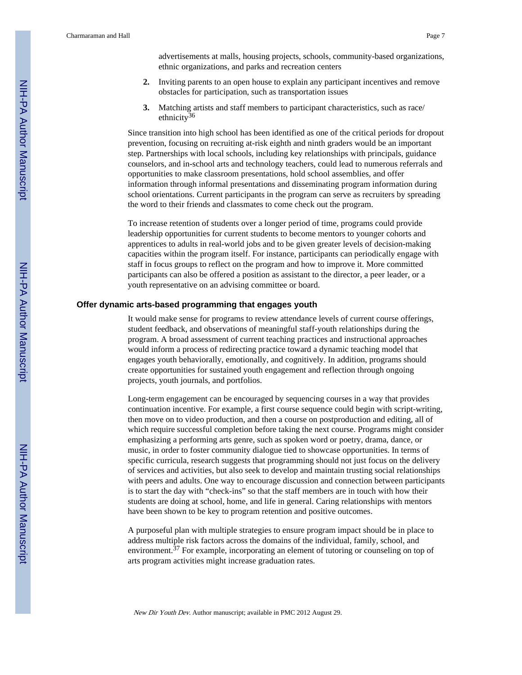advertisements at malls, housing projects, schools, community-based organizations, ethnic organizations, and parks and recreation centers

- **2.** Inviting parents to an open house to explain any participant incentives and remove obstacles for participation, such as transportation issues
- **3.** Matching artists and staff members to participant characteristics, such as race/ ethnicity $36$

Since transition into high school has been identified as one of the critical periods for dropout prevention, focusing on recruiting at-risk eighth and ninth graders would be an important step. Partnerships with local schools, including key relationships with principals, guidance counselors, and in-school arts and technology teachers, could lead to numerous referrals and opportunities to make classroom presentations, hold school assemblies, and offer information through informal presentations and disseminating program information during school orientations. Current participants in the program can serve as recruiters by spreading the word to their friends and classmates to come check out the program.

To increase retention of students over a longer period of time, programs could provide leadership opportunities for current students to become mentors to younger cohorts and apprentices to adults in real-world jobs and to be given greater levels of decision-making capacities within the program itself. For instance, participants can periodically engage with staff in focus groups to reflect on the program and how to improve it. More committed participants can also be offered a position as assistant to the director, a peer leader, or a youth representative on an advising committee or board.

#### **Offer dynamic arts-based programming that engages youth**

It would make sense for programs to review attendance levels of current course offerings, student feedback, and observations of meaningful staff-youth relationships during the program. A broad assessment of current teaching practices and instructional approaches would inform a process of redirecting practice toward a dynamic teaching model that engages youth behaviorally, emotionally, and cognitively. In addition, programs should create opportunities for sustained youth engagement and reflection through ongoing projects, youth journals, and portfolios.

Long-term engagement can be encouraged by sequencing courses in a way that provides continuation incentive. For example, a first course sequence could begin with script-writing, then move on to video production, and then a course on postproduction and editing, all of which require successful completion before taking the next course. Programs might consider emphasizing a performing arts genre, such as spoken word or poetry, drama, dance, or music, in order to foster community dialogue tied to showcase opportunities. In terms of specific curricula, research suggests that programming should not just focus on the delivery of services and activities, but also seek to develop and maintain trusting social relationships with peers and adults. One way to encourage discussion and connection between participants is to start the day with "check-ins" so that the staff members are in touch with how their students are doing at school, home, and life in general. Caring relationships with mentors have been shown to be key to program retention and positive outcomes.

A purposeful plan with multiple strategies to ensure program impact should be in place to address multiple risk factors across the domains of the individual, family, school, and environment.<sup>37</sup> For example, incorporating an element of tutoring or counseling on top of arts program activities might increase graduation rates.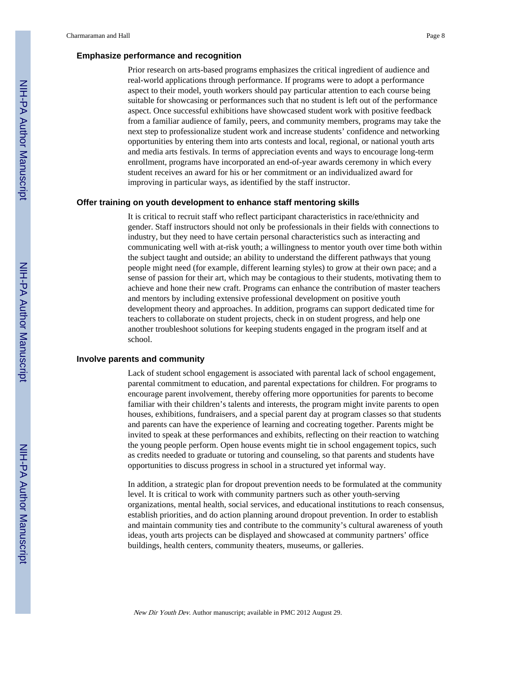#### **Emphasize performance and recognition**

Prior research on arts-based programs emphasizes the critical ingredient of audience and real-world applications through performance. If programs were to adopt a performance aspect to their model, youth workers should pay particular attention to each course being suitable for showcasing or performances such that no student is left out of the performance aspect. Once successful exhibitions have showcased student work with positive feedback from a familiar audience of family, peers, and community members, programs may take the next step to professionalize student work and increase students' confidence and networking opportunities by entering them into arts contests and local, regional, or national youth arts and media arts festivals. In terms of appreciation events and ways to encourage long-term enrollment, programs have incorporated an end-of-year awards ceremony in which every student receives an award for his or her commitment or an individualized award for improving in particular ways, as identified by the staff instructor.

#### **Offer training on youth development to enhance staff mentoring skills**

It is critical to recruit staff who reflect participant characteristics in race/ethnicity and gender. Staff instructors should not only be professionals in their fields with connections to industry, but they need to have certain personal characteristics such as interacting and communicating well with at-risk youth; a willingness to mentor youth over time both within the subject taught and outside; an ability to understand the different pathways that young people might need (for example, different learning styles) to grow at their own pace; and a sense of passion for their art, which may be contagious to their students, motivating them to achieve and hone their new craft. Programs can enhance the contribution of master teachers and mentors by including extensive professional development on positive youth development theory and approaches. In addition, programs can support dedicated time for teachers to collaborate on student projects, check in on student progress, and help one another troubleshoot solutions for keeping students engaged in the program itself and at school.

#### **Involve parents and community**

Lack of student school engagement is associated with parental lack of school engagement, parental commitment to education, and parental expectations for children. For programs to encourage parent involvement, thereby offering more opportunities for parents to become familiar with their children's talents and interests, the program might invite parents to open houses, exhibitions, fundraisers, and a special parent day at program classes so that students and parents can have the experience of learning and cocreating together. Parents might be invited to speak at these performances and exhibits, reflecting on their reaction to watching the young people perform. Open house events might tie in school engagement topics, such as credits needed to graduate or tutoring and counseling, so that parents and students have opportunities to discuss progress in school in a structured yet informal way.

In addition, a strategic plan for dropout prevention needs to be formulated at the community level. It is critical to work with community partners such as other youth-serving organizations, mental health, social services, and educational institutions to reach consensus, establish priorities, and do action planning around dropout prevention. In order to establish and maintain community ties and contribute to the community's cultural awareness of youth ideas, youth arts projects can be displayed and showcased at community partners' office buildings, health centers, community theaters, museums, or galleries.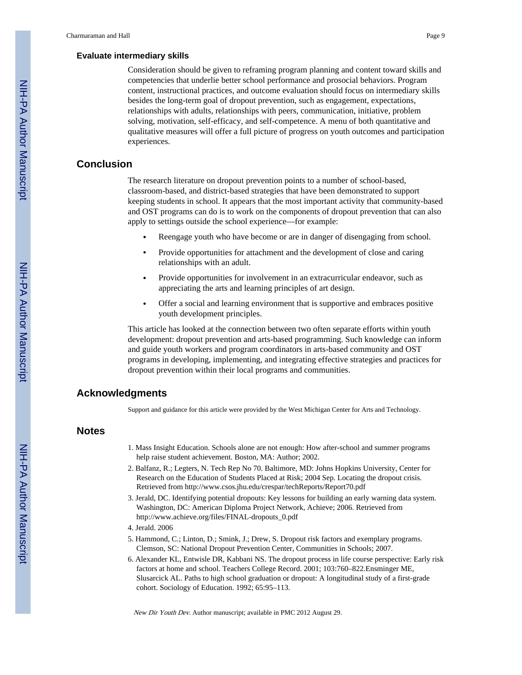#### **Evaluate intermediary skills**

Consideration should be given to reframing program planning and content toward skills and competencies that underlie better school performance and prosocial behaviors. Program content, instructional practices, and outcome evaluation should focus on intermediary skills besides the long-term goal of dropout prevention, such as engagement, expectations, relationships with adults, relationships with peers, communication, initiative, problem solving, motivation, self-efficacy, and self-competence. A menu of both quantitative and qualitative measures will offer a full picture of progress on youth outcomes and participation experiences.

# **Conclusion**

The research literature on dropout prevention points to a number of school-based, classroom-based, and district-based strategies that have been demonstrated to support keeping students in school. It appears that the most important activity that community-based and OST programs can do is to work on the components of dropout prevention that can also apply to settings outside the school experience—for example:

- **•** Reengage youth who have become or are in danger of disengaging from school.
- **•** Provide opportunities for attachment and the development of close and caring relationships with an adult.
- **•** Provide opportunities for involvement in an extracurricular endeavor, such as appreciating the arts and learning principles of art design.
- **•** Offer a social and learning environment that is supportive and embraces positive youth development principles.

This article has looked at the connection between two often separate efforts within youth development: dropout prevention and arts-based programming. Such knowledge can inform and guide youth workers and program coordinators in arts-based community and OST programs in developing, implementing, and integrating effective strategies and practices for dropout prevention within their local programs and communities.

# **Acknowledgments**

Support and guidance for this article were provided by the West Michigan Center for Arts and Technology.

# **Notes**

- 1. Mass Insight Education. Schools alone are not enough: How after-school and summer programs help raise student achievement. Boston, MA: Author; 2002.
- 2. Balfanz, R.; Legters, N. Tech Rep No 70. Baltimore, MD: Johns Hopkins University, Center for Research on the Education of Students Placed at Risk; 2004 Sep. Locating the dropout crisis. Retrieved from <http://www.csos.jhu.edu/crespar/techReports/Report70.pdf>
- 3. Jerald, DC. Identifying potential dropouts: Key lessons for building an early warning data system. Washington, DC: American Diploma Project Network, Achieve; 2006. Retrieved from [http://www.achieve.org/files/FINAL-dropouts\\_0.pdf](http://www.achieve.org/files/FINAL-dropouts_0.pdf)
- 4. Jerald. 2006
- 5. Hammond, C.; Linton, D.; Smink, J.; Drew, S. Dropout risk factors and exemplary programs. Clemson, SC: National Dropout Prevention Center, Communities in Schools; 2007.
- 6. Alexander KL, Entwisle DR, Kabbani NS. The dropout process in life course perspective: Early risk factors at home and school. Teachers College Record. 2001; 103:760–822.Ensminger ME, Slusarcick AL. Paths to high school graduation or dropout: A longitudinal study of a first-grade cohort. Sociology of Education. 1992; 65:95–113.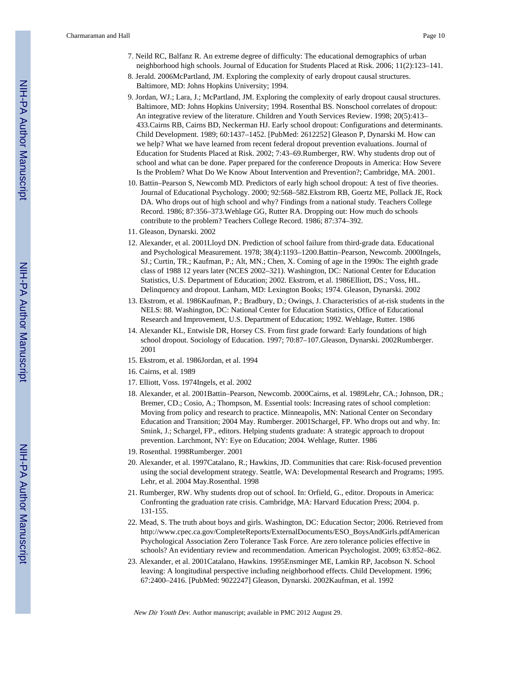- 7. Neild RC, Balfanz R. An extreme degree of difficulty: The educational demographics of urban neighborhood high schools. Journal of Education for Students Placed at Risk. 2006; 11(2):123–141.
- 8. Jerald. 2006McPartland, JM. Exploring the complexity of early dropout causal structures. Baltimore, MD: Johns Hopkins University; 1994.
- 9. Jordan, WJ.; Lara, J.; McPartland, JM. Exploring the complexity of early dropout causal structures. Baltimore, MD: Johns Hopkins University; 1994. Rosenthal BS. Nonschool correlates of dropout: An integrative review of the literature. Children and Youth Services Review. 1998; 20(5):413– 433.Cairns RB, Cairns BD, Neckerman HJ. Early school dropout: Configurations and determinants. Child Development. 1989; 60:1437–1452. [PubMed: 2612252] Gleason P, Dynarski M. How can we help? What we have learned from recent federal dropout prevention evaluations. Journal of Education for Students Placed at Risk. 2002; 7:43–69.Rumberger, RW. Why students drop out of school and what can be done. Paper prepared for the conference Dropouts in America: How Severe Is the Problem? What Do We Know About Intervention and Prevention?; Cambridge, MA. 2001.
- 10. Battin–Pearson S, Newcomb MD. Predictors of early high school dropout: A test of five theories. Journal of Educational Psychology. 2000; 92:568–582.Ekstrom RB, Goertz ME, Pollack JE, Rock DA. Who drops out of high school and why? Findings from a national study. Teachers College Record. 1986; 87:356–373.Wehlage GG, Rutter RA. Dropping out: How much do schools contribute to the problem? Teachers College Record. 1986; 87:374–392.
- 11. Gleason, Dynarski. 2002
- 12. Alexander, et al. 2001Lloyd DN. Prediction of school failure from third-grade data. Educational and Psychological Measurement. 1978; 38(4):1193–1200.Battin–Pearson, Newcomb. 2000Ingels, SJ.; Curtin, TR.; Kaufman, P.; Alt, MN.; Chen, X. Coming of age in the 1990s: The eighth grade class of 1988 12 years later (NCES 2002–321). Washington, DC: National Center for Education Statistics, U.S. Department of Education; 2002. Ekstrom, et al. 1986Elliott, DS.; Voss, HL. Delinquency and dropout. Lanham, MD: Lexington Books; 1974. Gleason, Dynarski. 2002
- 13. Ekstrom, et al. 1986Kaufman, P.; Bradbury, D.; Owings, J. Characteristics of at-risk students in the NELS: 88. Washington, DC: National Center for Education Statistics, Office of Educational Research and Improvement, U.S. Department of Education; 1992. Wehlage, Rutter. 1986
- 14. Alexander KL, Entwisle DR, Horsey CS. From first grade forward: Early foundations of high school dropout. Sociology of Education. 1997; 70:87–107.Gleason, Dynarski. 2002Rumberger. 2001
- 15. Ekstrom, et al. 1986Jordan, et al. 1994
- 16. Cairns, et al. 1989
- 17. Elliott, Voss. 1974Ingels, et al. 2002
- 18. Alexander, et al. 2001Battin–Pearson, Newcomb. 2000Cairns, et al. 1989Lehr, CA.; Johnson, DR.; Bremer, CD.; Cosio, A.; Thompson, M. Essential tools: Increasing rates of school completion: Moving from policy and research to practice. Minneapolis, MN: National Center on Secondary Education and Transition; 2004 May. Rumberger. 2001Schargel, FP. Who drops out and why. In: Smink, J.; Schargel, FP., editors. Helping students graduate: A strategic approach to dropout prevention. Larchmont, NY: Eye on Education; 2004. Wehlage, Rutter. 1986
- 19. Rosenthal. 1998Rumberger. 2001
- 20. Alexander, et al. 1997Catalano, R.; Hawkins, JD. Communities that care: Risk-focused prevention using the social development strategy. Seattle, WA: Developmental Research and Programs; 1995. Lehr, et al. 2004 May.Rosenthal. 1998
- 21. Rumberger, RW. Why students drop out of school. In: Orfield, G., editor. Dropouts in America: Confronting the graduation rate crisis. Cambridge, MA: Harvard Education Press; 2004. p. 131-155.
- 22. Mead, S. The truth about boys and girls. Washington, DC: Education Sector; 2006. Retrieved from [http://www.cpec.ca.gov/CompleteReports/ExternalDocuments/ESO\\_BoysAndGirls.pdf](http://www.cpec.ca.gov/CompleteReports/ExternalDocuments/ESO_BoysAndGirls.pdf)American Psychological Association Zero Tolerance Task Force. Are zero tolerance policies effective in schools? An evidentiary review and recommendation. American Psychologist. 2009; 63:852–862.
- 23. Alexander, et al. 2001Catalano, Hawkins. 1995Ensminger ME, Lamkin RP, Jacobson N. School leaving: A longitudinal perspective including neighborhood effects. Child Development. 1996; 67:2400–2416. [PubMed: 9022247] Gleason, Dynarski. 2002Kaufman, et al. 1992